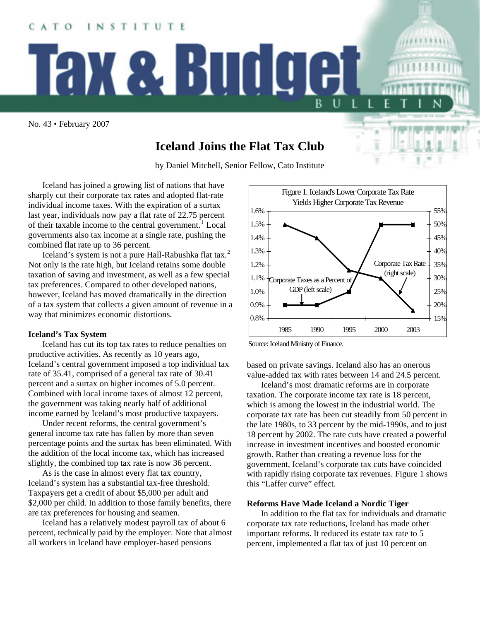No. 43 • February 2007

CATO

# **Iceland Joins the Flat Tax Club**

by Daniel Mitchell, Senior Fellow, Cato Institute

Iceland has joined a growing list of nations that have sharply cut their corporate tax rates and adopted flat-rate individual income taxes. With the expiration of a surtax last year, individuals now pay a flat rate of 22.75 percent of their taxable income to the central government.<sup>[1](#page-1-0)</sup> Local governments also tax income at a single rate, pushing the combined flat rate up to 36 percent.

INSTITUTE

Tax & Budge

Iceland's system is not a pure Hall-Rabushka flat tax.<sup>[2](#page-1-1)</sup> Not only is the rate high, but Iceland retains some double taxation of saving and investment, as well as a few special tax preferences. Compared to other developed nations, however, Iceland has moved dramatically in the direction of a tax system that collects a given amount of revenue in a way that minimizes economic distortions.

### **Iceland's Tax System**

 Iceland has cut its top tax rates to reduce penalties on productive activities. As recently as 10 years ago, Iceland's central government imposed a top individual tax rate of 35.41, comprised of a general tax rate of 30.41 percent and a surtax on higher incomes of 5.0 percent. Combined with local income taxes of almost 12 percent, the government was taking nearly half of additional income earned by Iceland's most productive taxpayers.

Under recent reforms, the central government's general income tax rate has fallen by more than seven percentage points and the surtax has been eliminated. With the addition of the local income tax, which has increased slightly, the combined top tax rate is now 36 percent.

As is the case in almost every flat tax country, Iceland's system has a substantial tax-free threshold. Taxpayers get a credit of about \$5,000 per adult and \$2,000 per child. In addition to those family benefits, there are tax preferences for housing and seamen.

Iceland has a relatively modest payroll tax of about 6 percent, technically paid by the employer. Note that almost all workers in Iceland have employer-based pensions



B

Source: Iceland Ministry of Finance.

based on private savings. Iceland also has an onerous value-added tax with rates between 14 and 24.5 percent.

Iceland's most dramatic reforms are in corporate taxation. The corporate income tax rate is 18 percent, which is among the lowest in the industrial world. The corporate tax rate has been cut steadily from 50 percent in the late 1980s, to 33 percent by the mid-1990s, and to just 18 percent by 2002. The rate cuts have created a powerful increase in investment incentives and boosted economic growth. Rather than creating a revenue loss for the government, Iceland's corporate tax cuts have coincided with rapidly rising corporate tax revenues. Figure 1 shows this "Laffer curve" effect.

## **Reforms Have Made Iceland a Nordic Tiger**

In addition to the flat tax for individuals and dramatic corporate tax rate reductions, Iceland has made other important reforms. It reduced its estate tax rate to 5 percent, implemented a flat tax of just 10 percent on